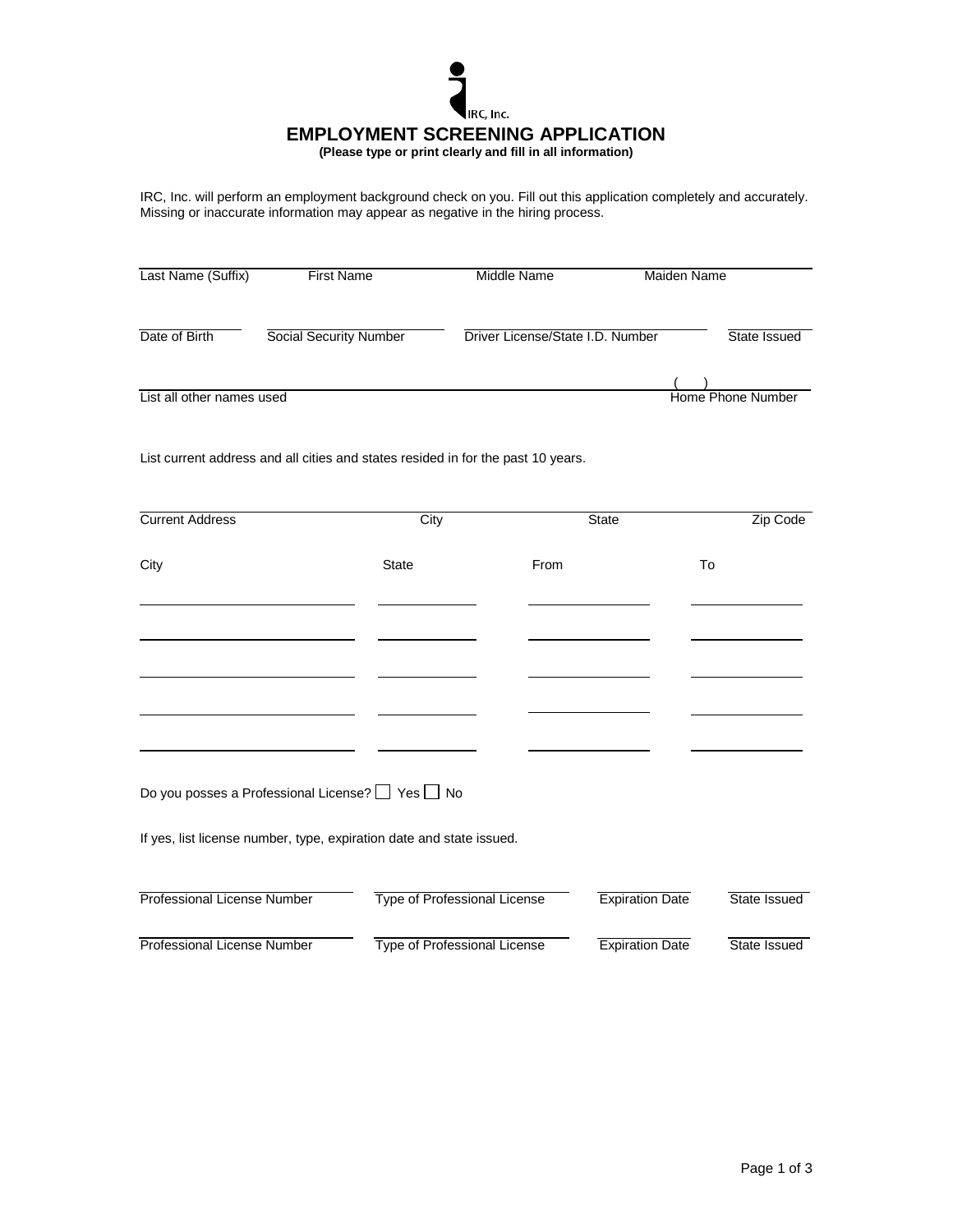

IRC, Inc. will perform an employment background check on you. Fill out this application completely and accurately. Missing or inaccurate information may appear as negative in the hiring process.

| Last Name (Suffix)        | <b>First Name</b>      | Middle Name                      | Maiden Name       |  |
|---------------------------|------------------------|----------------------------------|-------------------|--|
| Date of Birth             | Social Security Number | Driver License/State I.D. Number | State Issued      |  |
| List all other names used |                        |                                  | Home Phone Number |  |

List current address and all cities and states resided in for the past 10 years.

| <b>Current Address</b>                                               | City                                |      | <b>State</b>           | Zip Code            |
|----------------------------------------------------------------------|-------------------------------------|------|------------------------|---------------------|
| City                                                                 | <b>State</b>                        | From |                        | To                  |
|                                                                      |                                     |      |                        |                     |
|                                                                      |                                     |      |                        |                     |
|                                                                      |                                     |      |                        |                     |
|                                                                      |                                     |      |                        |                     |
| Do you posses a Professional License? $\Box$ Yes $\Box$ No           |                                     |      |                        |                     |
| If yes, list license number, type, expiration date and state issued. |                                     |      |                        |                     |
| <b>Professional License Number</b>                                   | <b>Type of Professional License</b> |      | <b>Expiration Date</b> | <b>State Issued</b> |
| Professional License Number                                          | <b>Type of Professional License</b> |      | <b>Expiration Date</b> | State Issued        |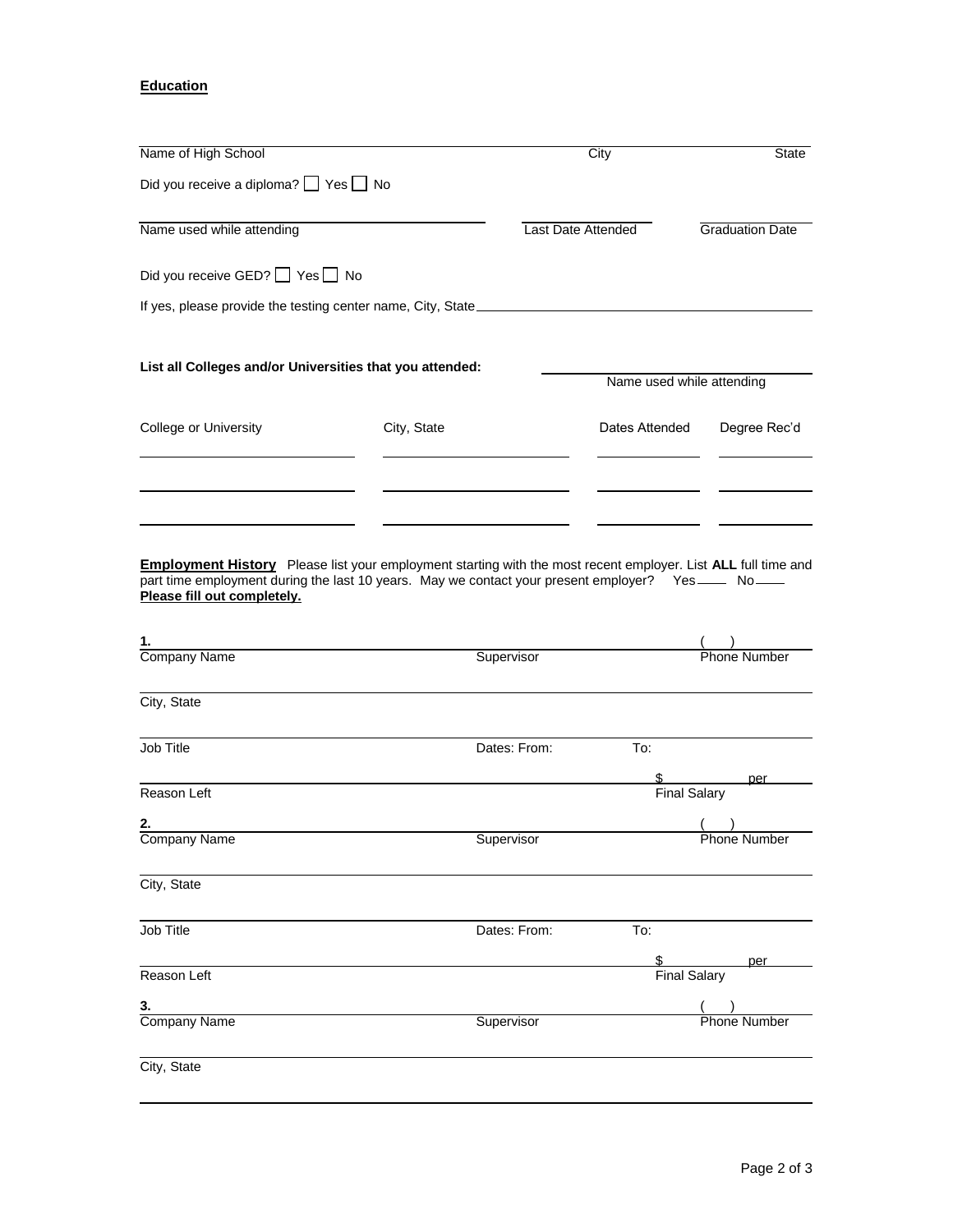## **Education**

| Name of High School                                                               |             | City                                                                                                                 | <b>State</b>           |
|-----------------------------------------------------------------------------------|-------------|----------------------------------------------------------------------------------------------------------------------|------------------------|
| Did you receive a diploma? Yes No                                                 |             |                                                                                                                      |                        |
| Name used while attending                                                         |             | Last Date Attended                                                                                                   | <b>Graduation Date</b> |
| Did you receive GED? Yes No                                                       |             |                                                                                                                      |                        |
| If yes, please provide the testing center name, City, State______________________ |             |                                                                                                                      |                        |
| List all Colleges and/or Universities that you attended:                          |             | Name used while attending                                                                                            |                        |
| College or University                                                             | City, State | Dates Attended                                                                                                       | Degree Rec'd           |
|                                                                                   |             |                                                                                                                      |                        |
|                                                                                   |             |                                                                                                                      |                        |
|                                                                                   |             |                                                                                                                      |                        |
|                                                                                   |             | <b>Employment History</b> Please list your employment starting with the most recent employer. List ALL full time and |                        |

part time employment during the last 10 years. May we contact your present employer? Yes \_\_\_\_ No **Please fill out completely.**

| 1.                  |                     |                     |                     |
|---------------------|---------------------|---------------------|---------------------|
| Company Name        | Supervisor          |                     | Phone Number        |
| City, State         |                     |                     |                     |
| Job Title           | Dates: From:        | To:                 |                     |
|                     |                     | \$                  | per                 |
| Reason Left         | <b>Final Salary</b> |                     |                     |
| 2.                  |                     |                     |                     |
| <b>Company Name</b> | Supervisor          |                     | <b>Phone Number</b> |
| City, State         |                     |                     |                     |
| Job Title           | Dates: From:        | To:                 |                     |
|                     |                     | \$                  | per                 |
| Reason Left         |                     | <b>Final Salary</b> |                     |
| 3.                  |                     |                     |                     |
| <b>Company Name</b> | Supervisor          |                     | Phone Number        |
| City, State         |                     |                     |                     |